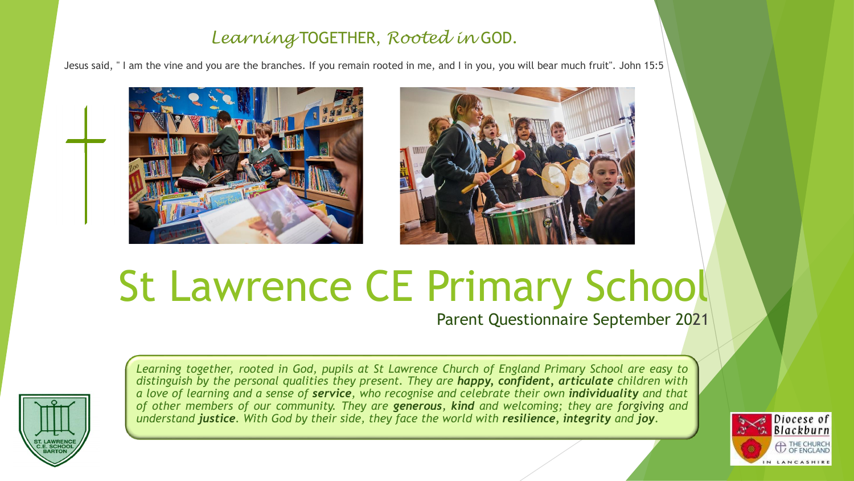## *Learning* TOGETHER, *Rooted in* GOD.

Jesus said, " I am the vine and you are the branches. If you remain rooted in me, and I in you, you will bear much fruit". John 15:5





## St Lawrence CE Primary School

Parent Questionnaire September 2021



*Learning together, rooted in God, pupils at St Lawrence Church of England Primary School are easy to distinguish by the personal qualities they present. They are happy, confident, articulate children with* a love of learning and a sense of **service**, who recognise and celebrate their own **individuality** and that *of other members of our community. They are generous, kind and welcoming; they are forgiving and* understand justice. With God by their side, they face the world with resilience, integrity and joy.

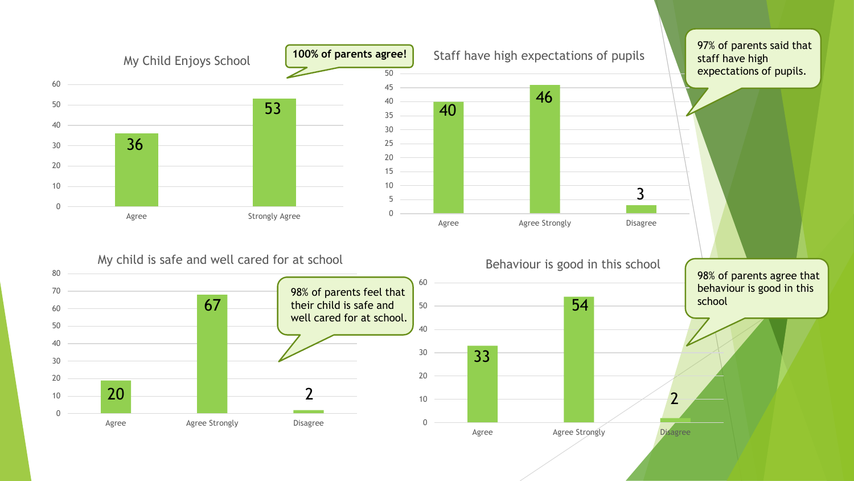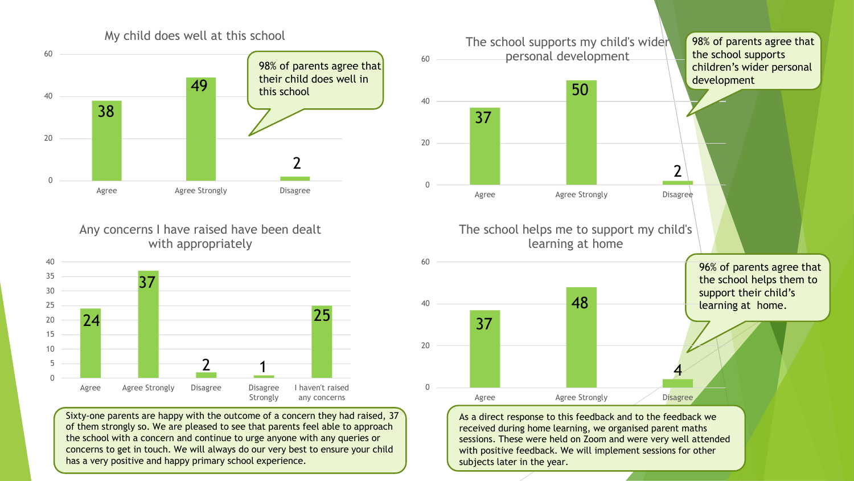

Any concerns I have raised have been dealt with appropriately



Sixty-one parents are happy with the outcome of a concern they had raised, 37 of them strongly so. We are pleased to see that parents feel able to approach the school with a concern and continue to urge anyone with any queries or concerns to get in touch. We will always do our very best to ensure your child has a very positive and happy primary school experience.



received during home learning, we organised parent maths sessions. These were held on Zoom and were very well attended with positive feedback. We will implement sessions for other subjects later in the year.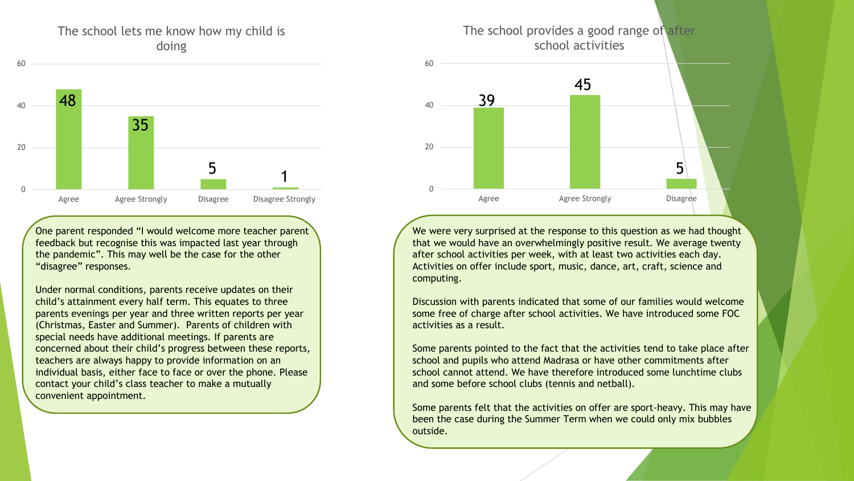## The school lets me know how my child is doing



One parent responded "I would welcome more teacher parent feedback but recognise this was impacted last year through the pandemic". This may well be the case for the other "disagree" responses.

Under normal conditions, parents receive updates on their child's attainment every half term. This equates to three parents evenings per year and three written reports per year (Christmas, Easter and Summer). Parents of children with special needs have additional meetings. If parents are concerned about their child's progress between these reports, teachers are always happy to provide information on an individual basis, either face to face or over the phone. Please contact your child's class teacher to make a mutually convenient appointment.



We were very surprised at the response to this question as we had thought that we would have an overwhelmingly positive result. We average twenty after school activities per week, with at least two activities each day. Activities on offer include sport, music, dance, art, craft, science and computing.

Discussion with parents indicated that some of our families would welcome some free of charge after school activities. We have introduced some FOC activities as a result.

Some parents pointed to the fact that the activities tend to take place after school and pupils who attend Madrasa or have other commitments after school cannot attend. We have therefore introduced some lunchtime clubs and some before school clubs (tennis and netball).

Some parents felt that the activities on offer are sport-heavy. This may have been the case during the Summer Term when we could only mix bubbles outside.